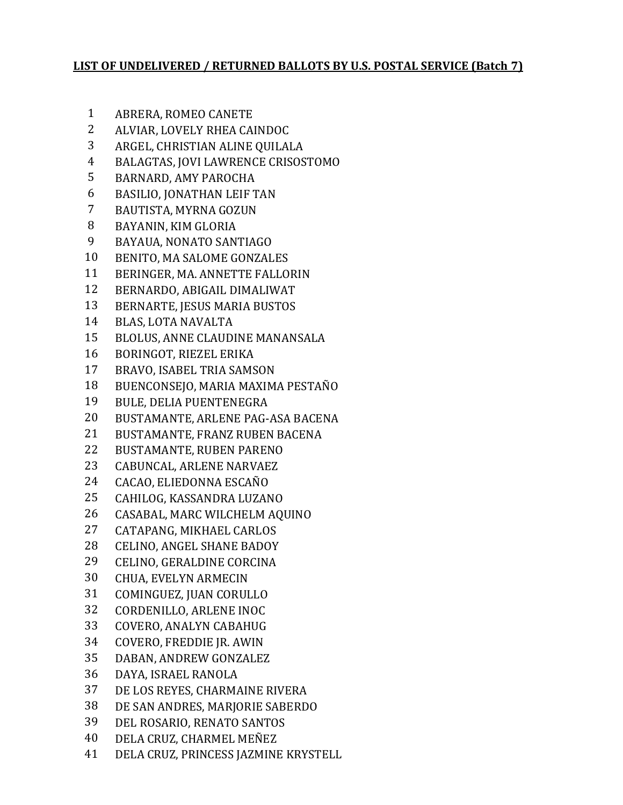## **LIST OF UNDELIVERED / RETURNED BALLOTS BY U.S. POSTAL SERVICE (Batch 7)**

- ABRERA, ROMEO CANETE
- ALVIAR, LOVELY RHEA CAINDOC
- ARGEL, CHRISTIAN ALINE QUILALA
- BALAGTAS, JOVI LAWRENCE CRISOSTOMO
- BARNARD, AMY PAROCHA
- BASILIO, JONATHAN LEIF TAN
- BAUTISTA, MYRNA GOZUN
- BAYANIN, KIM GLORIA
- BAYAUA, NONATO SANTIAGO
- BENITO, MA SALOME GONZALES
- BERINGER, MA. ANNETTE FALLORIN
- BERNARDO, ABIGAIL DIMALIWAT
- BERNARTE, JESUS MARIA BUSTOS
- BLAS, LOTA NAVALTA
- BLOLUS, ANNE CLAUDINE MANANSALA
- BORINGOT, RIEZEL ERIKA
- BRAVO, ISABEL TRIA SAMSON
- BUENCONSEJO, MARIA MAXIMA PESTAÑO
- BULE, DELIA PUENTENEGRA
- BUSTAMANTE, ARLENE PAG-ASA BACENA
- BUSTAMANTE, FRANZ RUBEN BACENA
- BUSTAMANTE, RUBEN PARENO
- CABUNCAL, ARLENE NARVAEZ
- CACAO, ELIEDONNA ESCAÑO
- CAHILOG, KASSANDRA LUZANO
- CASABAL, MARC WILCHELM AQUINO
- CATAPANG, MIKHAEL CARLOS
- CELINO, ANGEL SHANE BADOY
- CELINO, GERALDINE CORCINA
- CHUA, EVELYN ARMECIN
- COMINGUEZ, JUAN CORULLO
- CORDENILLO, ARLENE INOC
- COVERO, ANALYN CABAHUG
- COVERO, FREDDIE JR. AWIN
- DABAN, ANDREW GONZALEZ
- DAYA, ISRAEL RANOLA
- DE LOS REYES, CHARMAINE RIVERA
- DE SAN ANDRES, MARJORIE SABERDO
- DEL ROSARIO, RENATO SANTOS
- DELA CRUZ, CHARMEL MEÑEZ
- DELA CRUZ, PRINCESS JAZMINE KRYSTELL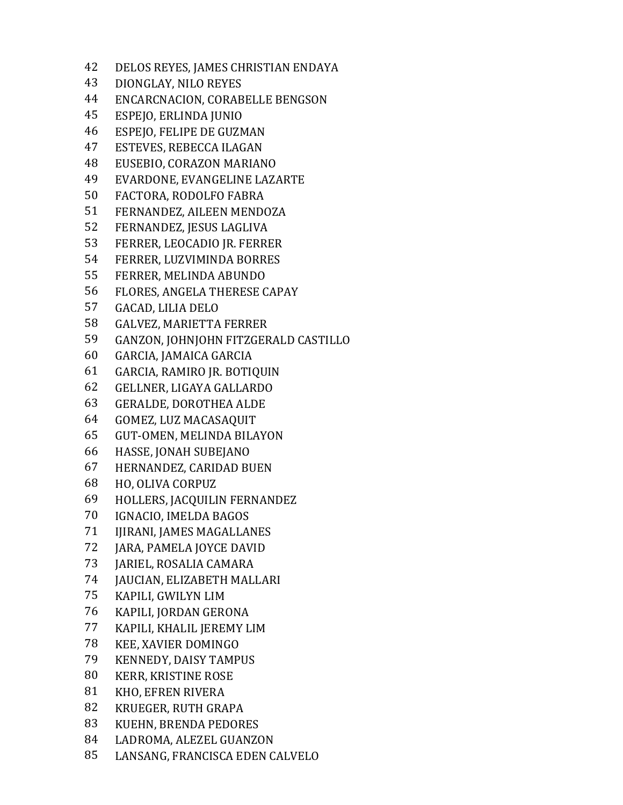DELOS REYES, JAMES CHRISTIAN ENDAYA DIONGLAY, NILO REYES ENCARCNACION, CORABELLE BENGSON ESPEJO, ERLINDA JUNIO ESPEJO, FELIPE DE GUZMAN ESTEVES, REBECCA ILAGAN EUSEBIO, CORAZON MARIANO EVARDONE, EVANGELINE LAZARTE FACTORA, RODOLFO FABRA FERNANDEZ, AILEEN MENDOZA FERNANDEZ, JESUS LAGLIVA FERRER, LEOCADIO JR. FERRER FERRER, LUZVIMINDA BORRES FERRER, MELINDA ABUNDO FLORES, ANGELA THERESE CAPAY GACAD, LILIA DELO GALVEZ, MARIETTA FERRER GANZON, JOHNJOHN FITZGERALD CASTILLO GARCIA, JAMAICA GARCIA GARCIA, RAMIRO JR. BOTIQUIN GELLNER, LIGAYA GALLARDO GERALDE, DOROTHEA ALDE GOMEZ, LUZ MACASAQUIT GUT-OMEN, MELINDA BILAYON HASSE, JONAH SUBEJANO HERNANDEZ, CARIDAD BUEN HO, OLIVA CORPUZ HOLLERS, JACQUILIN FERNANDEZ IGNACIO, IMELDA BAGOS IJIRANI, JAMES MAGALLANES JARA, PAMELA JOYCE DAVID JARIEL, ROSALIA CAMARA JAUCIAN, ELIZABETH MALLARI KAPILI, GWILYN LIM KAPILI, JORDAN GERONA KAPILI, KHALIL JEREMY LIM KEE, XAVIER DOMINGO KENNEDY, DAISY TAMPUS KERR, KRISTINE ROSE KHO, EFREN RIVERA KRUEGER, RUTH GRAPA KUEHN, BRENDA PEDORES LADROMA, ALEZEL GUANZON LANSANG, FRANCISCA EDEN CALVELO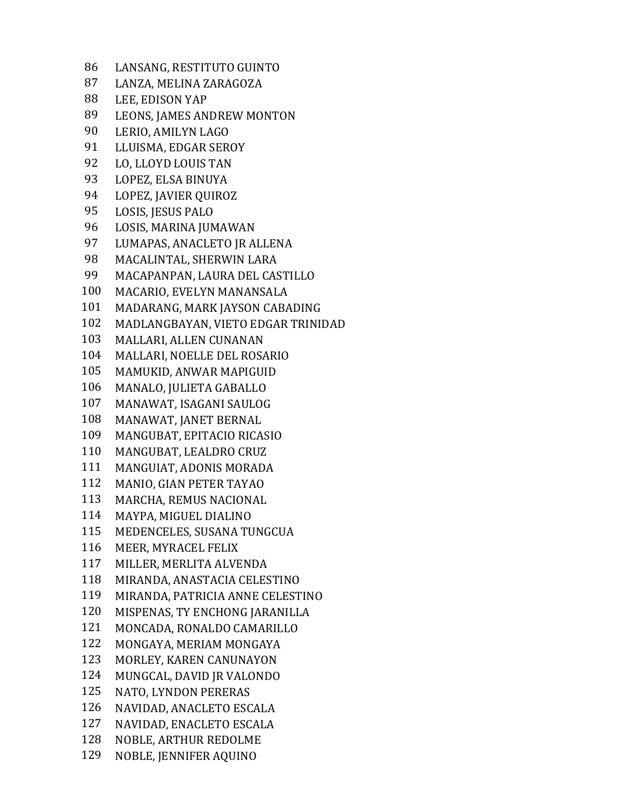LANSANG, RESTITUTO GUINTO LANZA, MELINA ZARAGOZA LEE, EDISON YAP LEONS, JAMES ANDREW MONTON LERIO, AMILYN LAGO LLUISMA, EDGAR SEROY LO, LLOYD LOUIS TAN LOPEZ, ELSA BINUYA LOPEZ, JAVIER QUIROZ LOSIS, JESUS PALO LOSIS, MARINA JUMAWAN LUMAPAS, ANACLETO JR ALLENA MACALINTAL, SHERWIN LARA MACAPANPAN, LAURA DEL CASTILLO MACARIO, EVELYN MANANSALA MADARANG, MARK JAYSON CABADING MADLANGBAYAN, VIETO EDGAR TRINIDAD MALLARI, ALLEN CUNANAN MALLARI, NOELLE DEL ROSARIO MAMUKID, ANWAR MAPIGUID MANALO, JULIETA GABALLO MANAWAT, ISAGANI SAULOG MANAWAT, JANET BERNAL MANGUBAT, EPITACIO RICASIO MANGUBAT, LEALDRO CRUZ MANGUIAT, ADONIS MORADA MANIO, GIAN PETER TAYAO MARCHA, REMUS NACIONAL MAYPA, MIGUEL DIALINO MEDENCELES, SUSANA TUNGCUA MEER, MYRACEL FELIX MILLER, MERLITA ALVENDA MIRANDA, ANASTACIA CELESTINO MIRANDA, PATRICIA ANNE CELESTINO MISPENAS, TY ENCHONG JARANILLA MONCADA, RONALDO CAMARILLO MONGAYA, MERIAM MONGAYA MORLEY, KAREN CANUNAYON MUNGCAL, DAVID JR VALONDO NATO, LYNDON PERERAS NAVIDAD, ANACLETO ESCALA NAVIDAD, ENACLETO ESCALA NOBLE, ARTHUR REDOLME NOBLE, JENNIFER AQUINO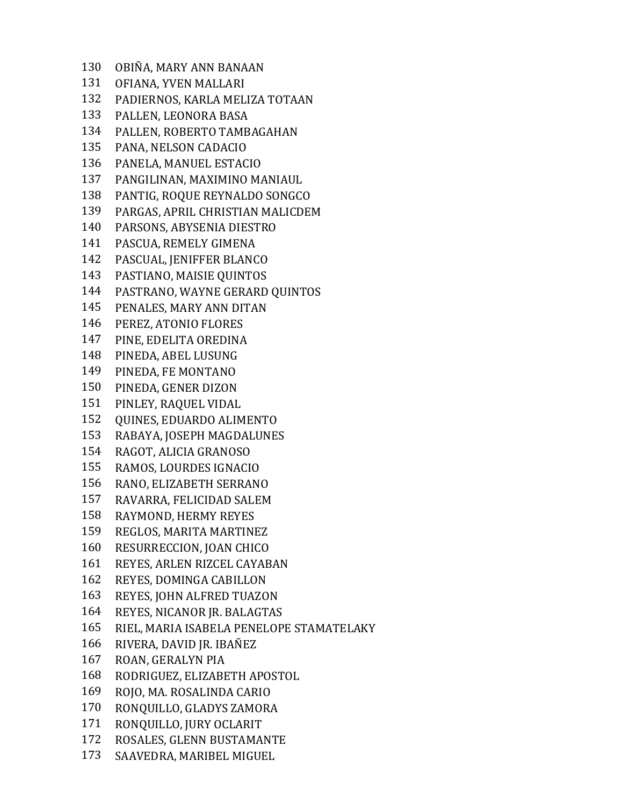OBIÑA, MARY ANN BANAAN OFIANA, YVEN MALLARI PADIERNOS, KARLA MELIZA TOTAAN PALLEN, LEONORA BASA PALLEN, ROBERTO TAMBAGAHAN PANA, NELSON CADACIO PANELA, MANUEL ESTACIO PANGILINAN, MAXIMINO MANIAUL PANTIG, ROQUE REYNALDO SONGCO PARGAS, APRIL CHRISTIAN MALICDEM PARSONS, ABYSENIA DIESTRO PASCUA, REMELY GIMENA PASCUAL, JENIFFER BLANCO PASTIANO, MAISIE QUINTOS PASTRANO, WAYNE GERARD QUINTOS PENALES, MARY ANN DITAN PEREZ, ATONIO FLORES PINE, EDELITA OREDINA PINEDA, ABEL LUSUNG PINEDA, FE MONTANO PINEDA, GENER DIZON PINLEY, RAQUEL VIDAL QUINES, EDUARDO ALIMENTO RABAYA, JOSEPH MAGDALUNES RAGOT, ALICIA GRANOSO RAMOS, LOURDES IGNACIO RANO, ELIZABETH SERRANO RAVARRA, FELICIDAD SALEM RAYMOND, HERMY REYES REGLOS, MARITA MARTINEZ RESURRECCION, JOAN CHICO REYES, ARLEN RIZCEL CAYABAN REYES, DOMINGA CABILLON REYES, JOHN ALFRED TUAZON REYES, NICANOR JR. BALAGTAS RIEL, MARIA ISABELA PENELOPE STAMATELAKY RIVERA, DAVID JR. IBAÑEZ ROAN, GERALYN PIA RODRIGUEZ, ELIZABETH APOSTOL ROJO, MA. ROSALINDA CARIO RONQUILLO, GLADYS ZAMORA RONQUILLO, JURY OCLARIT ROSALES, GLENN BUSTAMANTE SAAVEDRA, MARIBEL MIGUEL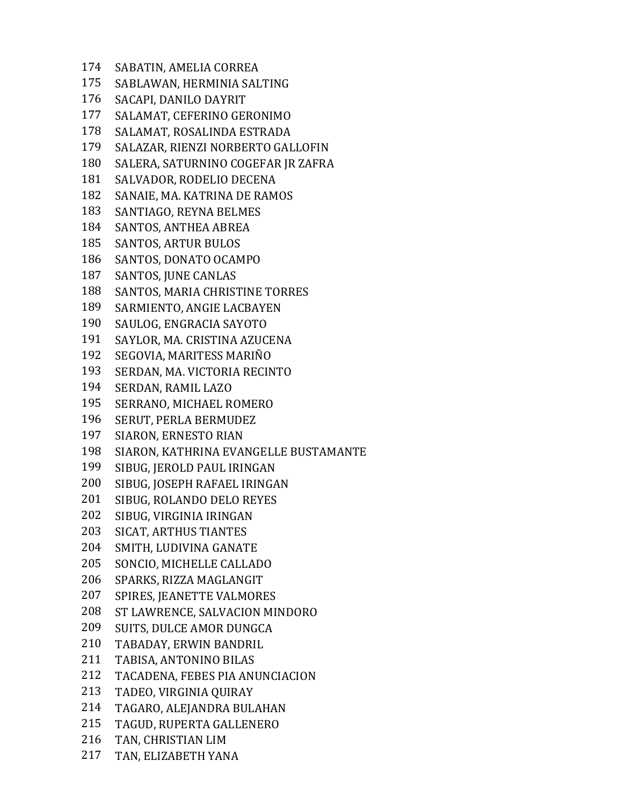SABATIN, AMELIA CORREA SABLAWAN, HERMINIA SALTING SACAPI, DANILO DAYRIT SALAMAT, CEFERINO GERONIMO SALAMAT, ROSALINDA ESTRADA SALAZAR, RIENZI NORBERTO GALLOFIN SALERA, SATURNINO COGEFAR JR ZAFRA SALVADOR, RODELIO DECENA SANAIE, MA. KATRINA DE RAMOS SANTIAGO, REYNA BELMES SANTOS, ANTHEA ABREA SANTOS, ARTUR BULOS SANTOS, DONATO OCAMPO SANTOS, JUNE CANLAS SANTOS, MARIA CHRISTINE TORRES SARMIENTO, ANGIE LACBAYEN SAULOG, ENGRACIA SAYOTO SAYLOR, MA. CRISTINA AZUCENA SEGOVIA, MARITESS MARIÑO SERDAN, MA. VICTORIA RECINTO SERDAN, RAMIL LAZO SERRANO, MICHAEL ROMERO SERUT, PERLA BERMUDEZ SIARON, ERNESTO RIAN SIARON, KATHRINA EVANGELLE BUSTAMANTE SIBUG, JEROLD PAUL IRINGAN SIBUG, JOSEPH RAFAEL IRINGAN SIBUG, ROLANDO DELO REYES SIBUG, VIRGINIA IRINGAN SICAT, ARTHUS TIANTES SMITH, LUDIVINA GANATE SONCIO, MICHELLE CALLADO SPARKS, RIZZA MAGLANGIT SPIRES, JEANETTE VALMORES ST LAWRENCE, SALVACION MINDORO SUITS, DULCE AMOR DUNGCA TABADAY, ERWIN BANDRIL TABISA, ANTONINO BILAS TACADENA, FEBES PIA ANUNCIACION TADEO, VIRGINIA QUIRAY TAGARO, ALEJANDRA BULAHAN TAGUD, RUPERTA GALLENERO TAN, CHRISTIAN LIM TAN, ELIZABETH YANA